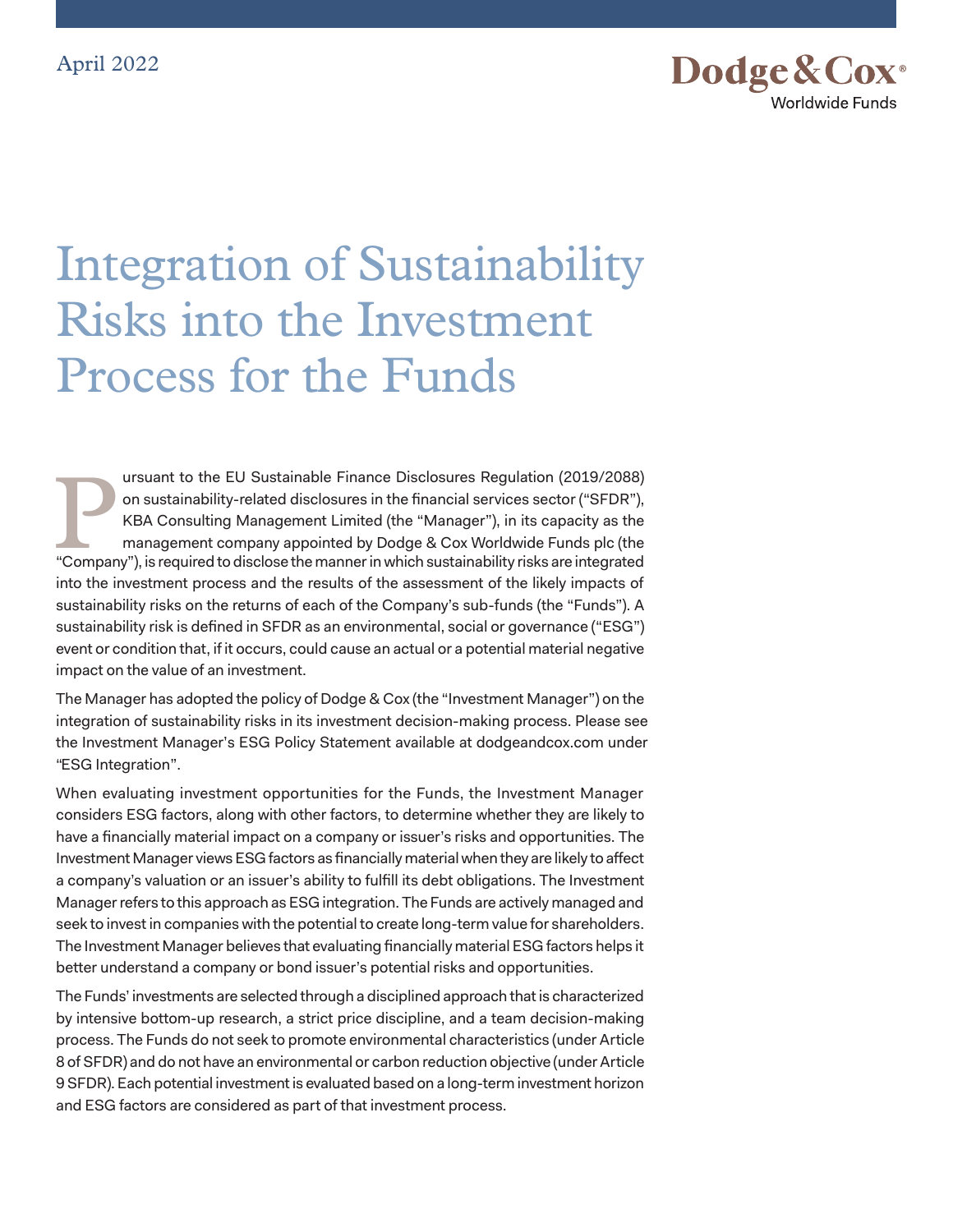

## Integration of Sustainability Risks into the Investment Process for the Funds

**1990 IDEN Sustainable Finance Disclosures Regulation (2019/2088)**<br>
on sustainability-related disclosures in the financial services sector ("SFDR"),<br>
KBA Consulting Management Limited (the "Manager"), in its capacity as th on sustainability-related disclosures in the financial services sector ("SFDR"), KBA Consulting Management Limited (the "Manager"), in its capacity as the management company appointed by Dodge & Cox Worldwide Funds plc (the into the investment process and the results of the assessment of the likely impacts of sustainability risks on the returns of each of the Company's sub-funds (the "Funds"). A sustainability risk is defined in SFDR as an environmental, social or governance ("ESG") event or condition that, if it occurs, could cause an actual or a potential material negative impact on the value of an investment.

The Manager has adopted the policy of Dodge & Cox (the "Investment Manager") on the integration of sustainability risks in its investment decision-making process. Please see the Investment Manager's ESG Policy Statement available at dodgeandcox.com under "ESG Integration".

When evaluating investment opportunities for the Funds, the Investment Manager considers ESG factors, along with other factors, to determine whether they are likely to have a financially material impact on a company or issuer's risks and opportunities. The Investment Manager views ESG factors as financially material when they are likely to affect a company's valuation or an issuer's ability to fulfill its debt obligations. The Investment Manager refers to this approach as ESG integration. The Funds are actively managed and seek to invest in companies with the potential to create long-term value for shareholders. The Investment Manager believes that evaluating financially material ESG factors helps it better understand a company or bond issuer's potential risks and opportunities.

The Funds' investments are selected through a disciplined approach that is characterized by intensive bottom-up research, a strict price discipline, and a team decision-making process. The Funds do not seek to promote environmental characteristics (under Article 8 of SFDR) and do not have an environmental or carbon reduction objective (under Article 9 SFDR). Each potential investment is evaluated based on a long-term investment horizon and ESG factors are considered as part of that investment process.